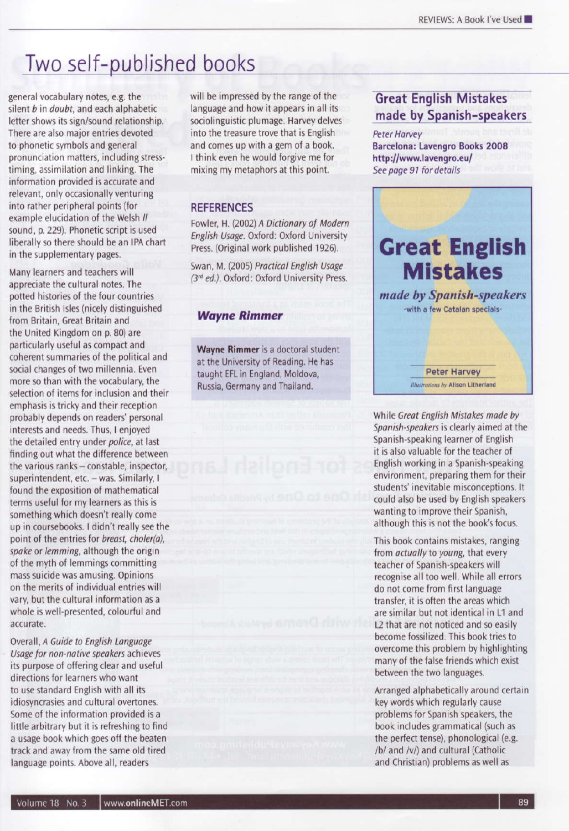# Two self-published books

general vocabulary notes, e.g. the silent b in doubt, and each alphabetic letter shows its sign/sound relationship. There are also major entries devoted to phonetic symbols and general pronunciation matters, including stresstiming, assimilation and linking. The information provided is accurate and relevant, only occasionally venturing into rather peripheral points (for example elucidation of the Welsh // sound, p. 229). Phonetic script is used liberally so there should be an IPA chart in the supplementary pages.

Many learners and teachers will appreciate the cultural notes. The potted histories of the four countries in the British Isles (nicely distinguished from Britain, Great Britain and the United Kingdom on p. 80) are particularly useful as compact and coherent summaries of the political and social changes of two millennia. Even more so than with the vocabulary, the selection of items for inclusion and their emphasis is tricky and their reception probably depends on readers' personal interests and needs. Thus, I enjoyed the detailed entry under police, at last finding out what the difference between the various ranks - constable, inspector, superintendent, etc. - was. Similarly, I found the exposition of mathematical terms useful for my learners as this is something which doesn't really come up in coursebooks. I didn't really see the point of the entries for breast, choler(a). spake or lemming, although the origin of the myth of lemmings committing mass suicide was amusing. Opinions on the merits of individual entries will vary, but the cultural information as a whole is well-presented, colourful and accurate.

Overall, A Guide to English Language Usage for non-native speakers achieves its purpose of offering clear and useful directions for learners who want to use standard English with all its idiosyncrasies and cultural overtones. Some of the information provided is a little arbitrary but it is refreshing to find a usage book which goes off the beaten track and away from the same old tired language points. Above all, readers

will be impressed by the range of the language and how it appears in all its sociolinguistic plumage. Harvey delves into the treasure trove that is English and comes up with a gem of a book. I think even he would forgive me for mixing my metaphors at this point.

## **REFERENCES**

Fowler, H. (2002) A Dictionary of Modern English Usage. Oxford: Oxford University Press. (Original work published 1926).

Swan, M. (2005) Practical English Usage (3rd ed.), Oxford: Oxford University Press.

### **Wayne Rimmer**

Wayne Rimmer is a doctoral student at the University of Reading. He has taught EFL in England, Moldova, Russia, Germany and Thailand.

# **Great English Mistakes** made by Spanish-speakers

**Peter Harvey Barcelona: Lavengro Books 2008** http://www.lavengro.eu/ See page 91 for details

# **Great English Mistakes**

made by Spanish-speakers -with a few Catalan specials-

> **Peter Harvey Illustrations by Alison Litherland**

While Great English Mistakes made by Spanish-speakers is clearly aimed at the Spanish-speaking learner of English it is also valuable for the teacher of English working in a Spanish-speaking environment, preparing them for their students' inevitable misconceptions. It could also be used by English speakers wanting to improve their Spanish, although this is not the book's focus.

This book contains mistakes, ranging from *actually* to young, that every teacher of Spanish-speakers will recognise all too well. While all errors do not come from first language transfer, it is often the areas which are similar but not identical in L1 and 12 that are not noticed and so easily become fossilized. This book tries to overcome this problem by highlighting many of the false friends which exist between the two languages.

Arranged alphabetically around certain key words which regularly cause problems for Spanish speakers, the book includes grammatical (such as the perfect tense), phonological (e.g. /b/ and /v/) and cultural (Catholic and Christian) problems as well as